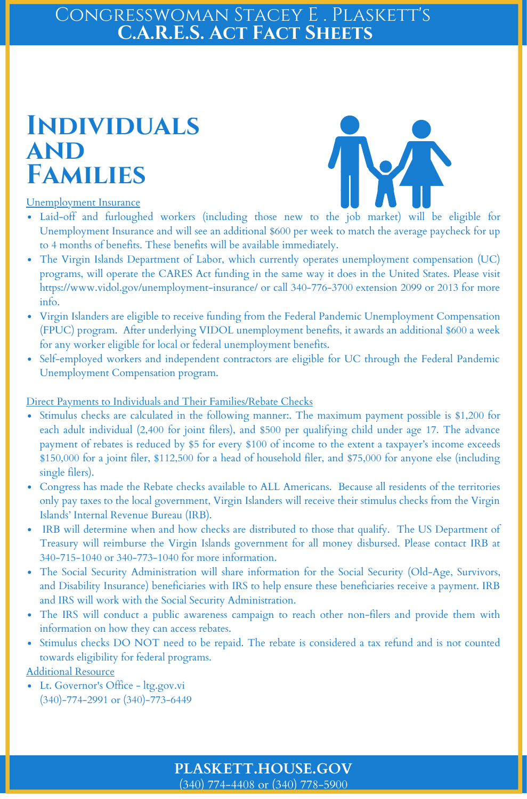#### $(340)$  774-4408 or (340) 778-5900 **PLASKETT.HOUSE.GOV**

- Laid-off and furloughed workers (including those new to the job market) will be eligible for Unemployment Insurance and will see an additional \$600 per week to match the average paycheck for up to 4 months of benefits. These benefits will be available immediately.
- The Virgin Islands Department of Labor, which currently operates unemployment compensation (UC) programs, will operate the CARES Act funding in the same way it does in the United States. Please visit https://www.vidol.gov/unemployment-insurance/ or call 340-776-3700 extension 2099 or 2013 for more info.
- Virgin Islanders are eligible to receive funding from the Federal Pandemic Unemployment Compensation (FPUC) program. After underlying VIDOL unemployment benefits, it awards an additional \$600 a week for any worker eligible for local or federal unemployment benefits.
- Self-employed workers and independent contractors are eligible for UC through the Federal Pandemic Unemployment Compensation program.

### CONGRESSWOMAN STACEY E . PLASKETT'S **C.A.R.E.S. Act Fact Sheets**

- Stimulus checks are calculated in the following manner:. The maximum payment possible is \$1,200 for  $\bullet$ each adult individual (2,400 for joint filers), and \$500 per qualifying child under age 17. The advance
	- payment of rebates is reduced by \$5 for every \$100 of income to the extent a taxpayer's income exceeds \$150,000 for a joint filer, \$112,500 for a head of household filer, and \$75,000 for anyone else (including single filers).
- Congress has made the Rebate checks available to ALL Americans. Because all residents of the territories only pay taxes to the local government, Virgin Islanders will receive their stimulus checks from the Virgin Islands' Internal Revenue Bureau (IRB).
- IRB will determine when and how checks are distributed to those that qualify. The US Department of Treasury will reimburse the Virgin Islands government for all money disbursed. Please contact IRB at 340-715-1040 or 340-773-1040 for more information.
- The Social Security Administration will share information for the Social Security (Old-Age, Survivors,  $\bullet$ and Disability Insurance) beneficiaries with IRS to help ensure these beneficiaries receive a payment. IRB and IRS will work with the Social Security Administration.
- The IRS will conduct a public awareness campaign to reach other non-filers and provide them with  $\bullet$ information on how they can access rebates.
- Stimulus checks DO NOT need to be repaid. The rebate is considered a tax refund and is not counted  $\bullet$ towards eligibility for federal programs.
- Additional Resource
- Lt. Governor's Office ltg.gov.vi (340)-774-2991 or (340)-773-6449

#### Unemployment Insurance

#### Direct Payments to Individuals and Their Families/Rebate Checks

## **Individuals and Families**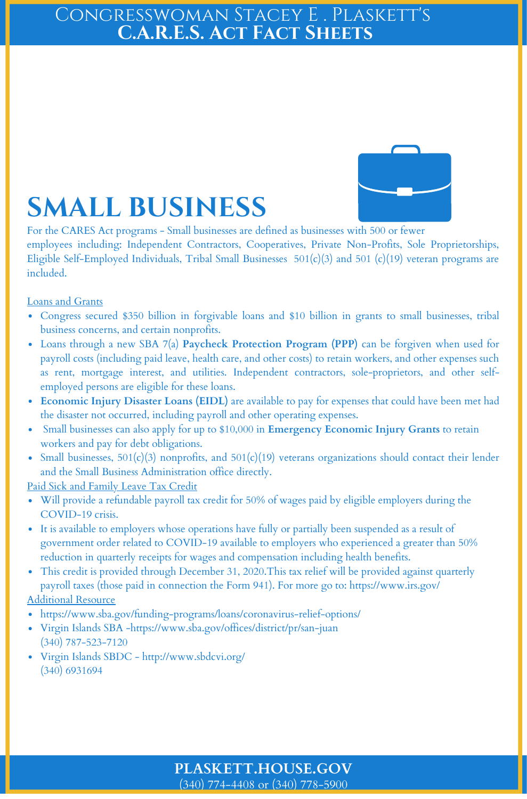#### (340) 774-4408 or (340) 778-5900 **PLASKETT.HOUSE.GOV**

### CONGRESSWOMAN STACEY E . PLASKETT'S **C.A.R.E.S. Act Fact Sheets**



- Congress secured \$350 billion in forgivable loans and \$10 billion in grants to small businesses, tribal business concerns, and certain nonprofits.
- Loans through a new SBA 7(a) **Paycheck Protection Program (PPP)** can be forgiven when used for  $\bullet$ payroll costs (including paid leave, health care, and other costs) to retain workers, and other expenses such as rent, mortgage interest, and utilities. Independent contractors, sole-proprietors, and other selfemployed persons are eligible for these loans.
- **Economic Injury Disaster Loans (EIDL)** are available to pay for expenses that could have been met had the disaster not occurred, including payroll and other operating expenses.
- Small businesses can also apply for up to \$10,000 in **Emergency Economic Injury Grants** to retain workers and pay for debt obligations.
- Small businesses, 501(c)(3) nonprofits, and 501(c)(19) veterans organizations should contact their lender and the Small Business Administration office directly.

- Will provide a refundable payroll tax credit for 50% of wages paid by eligible employers during the COVID-19 crisis.
- It is available to employers whose operations have fully or partially been suspended as a result of government order related to COVID-19 available to employers who experienced a greater than 50% reduction in quarterly receipts for wages and compensation including health benefits.
- This credit is provided through December 31, 2020.This tax relief will be provided against quarterly  $\bullet$ payroll taxes (those paid in connection the Form 941). For more go to: https://www.irs.gov/

- https://www.sba.gov/funding-programs/loans/coronavirus-relief-options/
- Virgin Islands SBA -https://www.sba.gov/offices/district/pr/san-juan (340) 787-523-7120
- Virgin Islands SBDC http://www.sbdcvi.org/ (340) 6931694

For the CARES Act programs - Small businesses are defined as businesses with 500 or fewer employees including: Independent Contractors, Cooperatives, Private Non-Profits, Sole Proprietorships, Eligible Self-Employed Individuals, Tribal Small Businesses 501(c)(3) and 501 (c)(19) veteran programs are included.

#### Loans and Grants

#### Paid Sick and Family Leave Tax Credit

#### Additional Resource

# **SMALL BUSINESS**